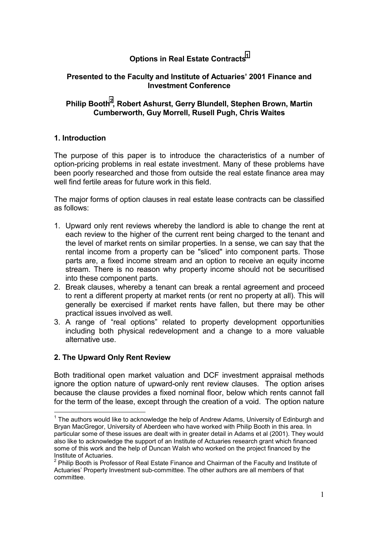# **Options in Real Estate Contracts<sup>1</sup>**

### **Presented to the Faculty and Institute of Actuaries' 2001 Finance and Investment Conference**

## Philip Booth<sup>2</sup>, Robert Ashurst, Gerry Blundell, Stephen Brown, Martin **Cumberworth, Guy Morrell, Rusell Pugh, Chris Waites**

### **1. Introduction**

The purpose of this paper is to introduce the characteristics of a number of option-pricing problems in real estate investment. Many of these problems have been poorly researched and those from outside the real estate finance area may well find fertile areas for future work in this field.

The major forms of option clauses in real estate lease contracts can be classified as follows:

- 1. Upward only rent reviews whereby the landlord is able to change the rent at each review to the higher of the current rent being charged to the tenant and the level of market rents on similar properties. In a sense, we can say that the rental income from a property can be "sliced" into component parts. Those parts are, a fixed income stream and an option to receive an equity income stream. There is no reason why property income should not be securitised into these component parts.
- 2. Break clauses, whereby a tenant can break a rental agreement and proceed to rent a different property at market rents (or rent no property at all). This will generally be exercised if market rents have fallen, but there may be other practical issues involved as well.
- 3. A range of "real options" related to property development opportunities including both physical redevelopment and a change to a more valuable alternative use.

### **2. The Upward Only Rent Review**

 $\overline{a}$ 

Both traditional open market valuation and DCF investment appraisal methods ignore the option nature of upward-only rent review clauses. The option arises because the clause provides a fixed nominal floor, below which rents cannot fall for the term of the lease, except through the creation of a void. The option nature

 $1$  The authors would like to acknowledge the help of Andrew Adams, University of Edinburgh and Bryan MacGregor, University of Aberdeen who have worked with Philip Booth in this area. In particular some of these issues are dealt with in greater detail in Adams et al (2001). They would also like to acknowledge the support of an Institute of Actuaries research grant which financed some of this work and the help of Duncan Walsh who worked on the project financed by the Institute of Actuaries.

 $^{2}$  Philip Booth is Professor of Real Estate Finance and Chairman of the Faculty and Institute of Actuaries' Property Investment sub-committee. The other authors are all members of that committee.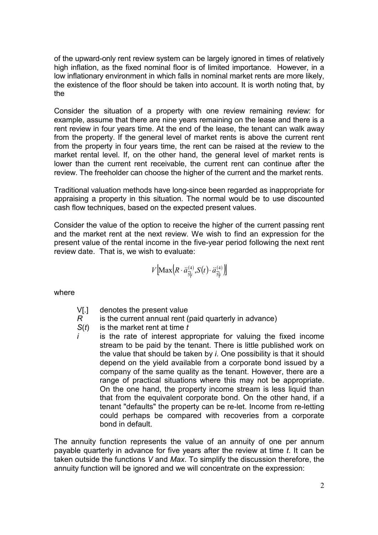of the upward-only rent review system can be largely ignored in times of relatively high inflation, as the fixed nominal floor is of limited importance. However, in a low inflationary environment in which falls in nominal market rents are more likely, the existence of the floor should be taken into account. It is worth noting that, by the

Consider the situation of a property with one review remaining review: for example, assume that there are nine years remaining on the lease and there is a rent review in four years time. At the end of the lease, the tenant can walk away from the property. If the general level of market rents is above the current rent from the property in four years time, the rent can be raised at the review to the market rental level. If, on the other hand, the general level of market rents is lower than the current rent receivable, the current rent can continue after the review. The freeholder can choose the higher of the current and the market rents.

Traditional valuation methods have long-since been regarded as inappropriate for appraising a property in this situation. The normal would be to use discounted cash flow techniques, based on the expected present values.

Consider the value of the option to receive the higher of the current passing rent and the market rent at the next review. We wish to find an expression for the present value of the rental income in the five-year period following the next rent review date. That is, we wish to evaluate:

$$
V\left[\text{Max}\left(R\cdot\ddot{a}_{\overline{s}|i}^{(4)},S(t)\cdot\ddot{a}_{\overline{s}|i}^{(4)}\right)\right]
$$

where

- V[.] denotes the present value
- *R* is the current annual rent (paid quarterly in advance)
- *S*(*t*) is the market rent at time *t*
- *i* is the rate of interest appropriate for valuing the fixed income stream to be paid by the tenant. There is little published work on the value that should be taken by *i*. One possibility is that it should depend on the yield available from a corporate bond issued by a company of the same quality as the tenant. However, there are a range of practical situations where this may not be appropriate. On the one hand, the property income stream is less liquid than that from the equivalent corporate bond. On the other hand, if a tenant "defaults" the property can be re-let. Income from re-letting could perhaps be compared with recoveries from a corporate bond in default.

The annuity function represents the value of an annuity of one per annum payable quarterly in advance for five years after the review at time *t*. It can be taken outside the functions *V* and *Max*. To simplify the discussion therefore, the annuity function will be ignored and we will concentrate on the expression: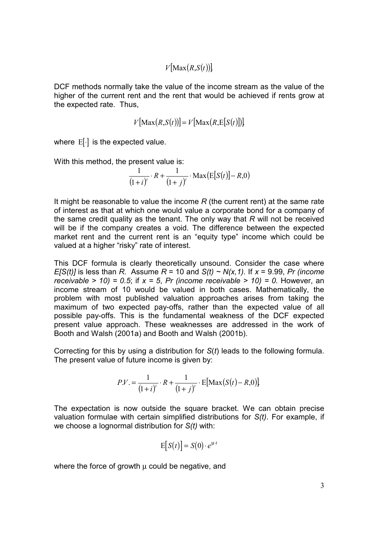$V$ [Max $(R,S(t))$ ]

DCF methods normally take the value of the income stream as the value of the higher of the current rent and the rent that would be achieved if rents grow at the expected rate. Thus,

$$
V[\text{Max}(R, S(t))] = V[\text{Max}(R, E[S(t)])]
$$

where  $E[\cdot]$  is the expected value.

With this method, the present value is:

$$
\frac{1}{(1+i)^{t}} \cdot R + \frac{1}{(1+j)^{t}} \cdot \text{Max}(\text{E}[S(t)] - R, 0)
$$

It might be reasonable to value the income *R* (the current rent) at the same rate of interest as that at which one would value a corporate bond for a company of the same credit quality as the tenant. The only way that *R* will not be received will be if the company creates a void. The difference between the expected market rent and the current rent is an "equity type" income which could be valued at a higher "risky" rate of interest.

This DCF formula is clearly theoretically unsound. Consider the case where *E[S(t)]* is less than *R.* Assume *R* = 10 and *S(t) ~ N(x,1).* If *x* = 9.99, *Pr (income receivable > 10) = 0.5*; if  $x = 5$ , *Pr (income receivable > 10) = 0.* However, an income stream of 10 would be valued in both cases. Mathematically, the problem with most published valuation approaches arises from taking the maximum of two expected pay-offs, rather than the expected value of all possible pay-offs. This is the fundamental weakness of the DCF expected present value approach. These weaknesses are addressed in the work of Booth and Walsh (2001a) and Booth and Walsh (2001b).

Correcting for this by using a distribution for *S*(*t*) leads to the following formula. The present value of future income is given by:

$$
P.V. = \frac{1}{(1+i)^{t}} \cdot R + \frac{1}{(1+i)^{t}} \cdot E[\text{Max}(S(t) - R, 0)]
$$

The expectation is now outside the square bracket. We can obtain precise valuation formulae with certain simplified distributions for *S(t)*. For example, if we choose a lognormal distribution for *S(t)* with:

$$
E[S(t)] = S(0) \cdot e^{\mu \cdot t}
$$

where the force of growth  $\mu$  could be negative, and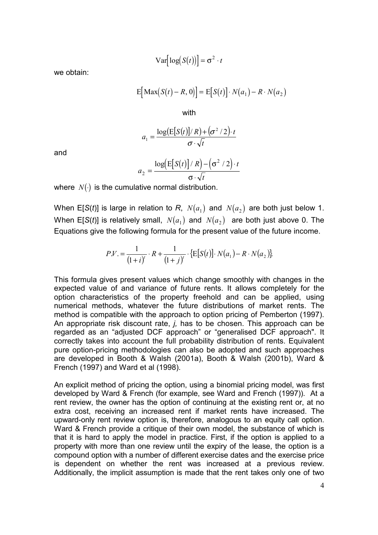$$
\text{Var}\big[\log(S(t))\big] = \sigma^2 \cdot t
$$

we obtain:

$$
E[\text{Max}(S(t) - R, 0)] = E[S(t)] \cdot N(a_1) - R \cdot N(a_2)
$$

with

$$
a_1 = \frac{\log(E[S(t)]/R) + (\sigma^2/2) \cdot t}{\sigma \cdot \sqrt{t}}
$$

and

$$
a_2 = \frac{\log\left(\mathbb{E}\left[S(t)\right]/R\right) - \left(\sigma^2/2\right) \cdot t}{\sigma \cdot \sqrt{t}}
$$

where  $N(\cdot)$  is the cumulative normal distribution.

When E[*S*(*t*)] is large in relation to *R*,  $N(a_1)$  and  $N(a_2)$  are both just below 1. When E[S(*t*)] is relatively small,  $N(a_1)$  and  $N(a_2)$  are both just above 0. The Equations give the following formula for the present value of the future income.

$$
P.V. = \frac{1}{(1+i)^{t}} \cdot R + \frac{1}{(1+j)^{t}} \cdot \{E[S(t)]. N(a_1) - R \cdot N(a_2)\}.
$$

This formula gives present values which change smoothly with changes in the expected value of and variance of future rents. It allows completely for the option characteristics of the property freehold and can be applied, using numerical methods, whatever the future distributions of market rents. The method is compatible with the approach to option pricing of Pemberton (1997). An appropriate risk discount rate, *j,* has to be chosen. This approach can be regarded as an "adjusted DCF approach" or "generalised DCF approach". It correctly takes into account the full probability distribution of rents. Equivalent pure option-pricing methodologies can also be adopted and such approaches are developed in Booth & Walsh (2001a), Booth & Walsh (2001b), Ward & French (1997) and Ward et al (1998).

An explicit method of pricing the option, using a binomial pricing model, was first developed by Ward & French (for example, see Ward and French (1997)). At a rent review, the owner has the option of continuing at the existing rent or, at no extra cost, receiving an increased rent if market rents have increased. The upward-only rent review option is, therefore, analogous to an equity call option. Ward & French provide a critique of their own model, the substance of which is that it is hard to apply the model in practice. First, if the option is applied to a property with more than one review until the expiry of the lease, the option is a compound option with a number of different exercise dates and the exercise price is dependent on whether the rent was increased at a previous review. Additionally, the implicit assumption is made that the rent takes only one of two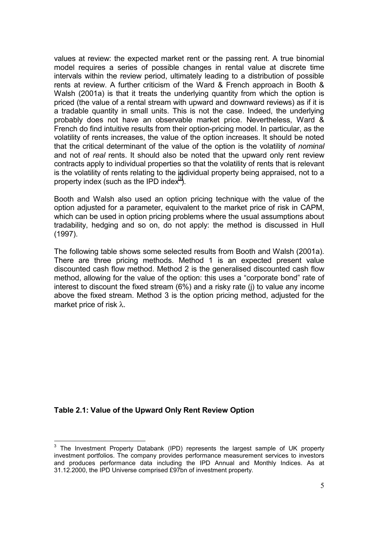values at review: the expected market rent or the passing rent. A true binomial model requires a series of possible changes in rental value at discrete time intervals within the review period, ultimately leading to a distribution of possible rents at review. A further criticism of the Ward & French approach in Booth & Walsh (2001a) is that it treats the underlying quantity from which the option is priced (the value of a rental stream with upward and downward reviews) as if it is a tradable quantity in small units. This is not the case. Indeed, the underlying probably does not have an observable market price. Nevertheless, Ward & French do find intuitive results from their option-pricing model. In particular, as the volatility of rents increases, the value of the option increases. It should be noted that the critical determinant of the value of the option is the volatility of *nominal* and not of *real* rents. It should also be noted that the upward only rent review contracts apply to individual properties so that the volatility of rents that is relevant is the volatility of rents relating to the individual property being appraised, not to a property index (such as the IPD index<sup>3</sup>).

Booth and Walsh also used an option pricing technique with the value of the option adjusted for a parameter, equivalent to the market price of risk in CAPM, which can be used in option pricing problems where the usual assumptions about tradability, hedging and so on, do not apply: the method is discussed in Hull (1997).

The following table shows some selected results from Booth and Walsh (2001a). There are three pricing methods. Method 1 is an expected present value discounted cash flow method. Method 2 is the generalised discounted cash flow method, allowing for the value of the option: this uses a "corporate bond" rate of interest to discount the fixed stream (6%) and a risky rate (j) to value any income above the fixed stream. Method 3 is the option pricing method, adjusted for the market price of risk λ.

### **Table 2.1: Value of the Upward Only Rent Review Option**

The Investment Property Databank (IPD) represents the largest sample of UK property investment portfolios. The company provides performance measurement services to investors and produces performance data including the IPD Annual and Monthly Indices. As at 31.12.2000, the IPD Universe comprised £97bn of investment property.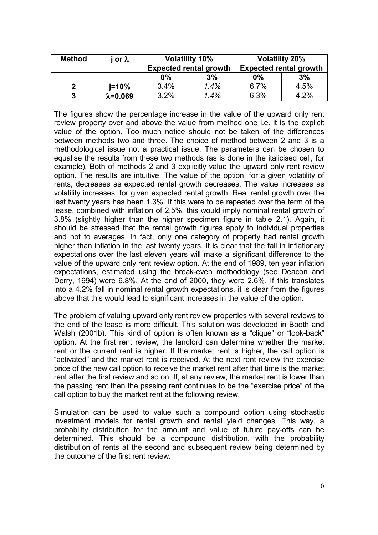| <b>Method</b> | or $\lambda$      | <b>Volatility 10%</b><br><b>Expected rental growth</b> |      | <b>Volatility 20%</b><br><b>Expected rental growth</b> |      |
|---------------|-------------------|--------------------------------------------------------|------|--------------------------------------------------------|------|
|               |                   | 0%                                                     | 3%   | 0%                                                     | 3%   |
|               | i=10%             | 3.4%                                                   | 1.4% | 6.7%                                                   | 4.5% |
| 3             | $\lambda = 0.069$ | 3.2%                                                   | 1.4% | 6.3%                                                   | 4.2% |

The figures show the percentage increase in the value of the upward only rent review property over and above the value from method one i.e. it is the explicit value of the option. Too much notice should not be taken of the differences between methods two and three. The choice of method between 2 and 3 is a methodological issue not a practical issue. The parameters can be chosen to equalise the results from these two methods (as is done in the italicised cell, for example). Both of methods 2 and 3 explicitly value the upward only rent review option. The results are intuitive. The value of the option, for a given volatility of rents, decreases as expected rental growth decreases. The value increases as volatility increases, for given expected rental growth. Real rental growth over the last twenty years has been 1.3%. If this were to be repeated over the term of the lease, combined with inflation of 2.5%, this would imply nominal rental growth of 3.8% (slightly higher than the higher specimen figure in table 2.1). Again, it should be stressed that the rental growth figures apply to individual properties and not to averages. In fact, only one category of property had rental growth higher than inflation in the last twenty years. It is clear that the fall in inflationary expectations over the last eleven years will make a significant difference to the value of the upward only rent review option. At the end of 1989, ten year inflation expectations, estimated using the break-even methodology (see Deacon and Derry, 1994) were 6.8%. At the end of 2000, they were 2.6%. If this translates into a 4.2% fall in nominal rental growth expectations, it is clear from the figures above that this would lead to significant increases in the value of the option.

The problem of valuing upward only rent review properties with several reviews to the end of the lease is more difficult. This solution was developed in Booth and Walsh (2001b). This kind of option is often known as a "clique" or "look-back" option. At the first rent review, the landlord can determine whether the market rent or the current rent is higher. If the market rent is higher, the call option is "activated" and the market rent is received. At the next rent review the exercise price of the new call option to receive the market rent after that time is the market rent after the first review and so on. If, at any review, the market rent is lower than the passing rent then the passing rent continues to be the "exercise price" of the call option to buy the market rent at the following review.

Simulation can be used to value such a compound option using stochastic investment models for rental growth and rental yield changes. This way, a probability distribution for the amount and value of future pay-offs can be determined. This should be a compound distribution, with the probability distribution of rents at the second and subsequent review being determined by the outcome of the first rent review.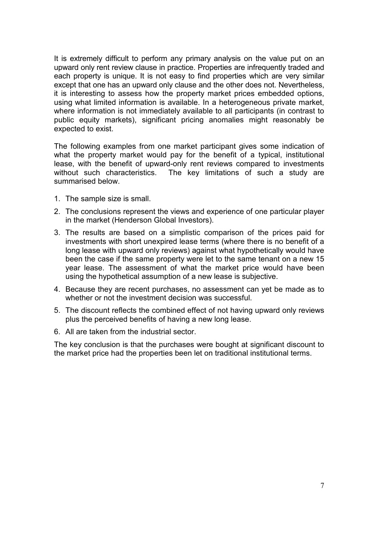It is extremely difficult to perform any primary analysis on the value put on an upward only rent review clause in practice. Properties are infrequently traded and each property is unique. It is not easy to find properties which are very similar except that one has an upward only clause and the other does not. Nevertheless, it is interesting to assess how the property market prices embedded options, using what limited information is available. In a heterogeneous private market, where information is not immediately available to all participants (in contrast to public equity markets), significant pricing anomalies might reasonably be expected to exist.

The following examples from one market participant gives some indication of what the property market would pay for the benefit of a typical, institutional lease, with the benefit of upward-only rent reviews compared to investments without such characteristics. The key limitations of such a study are summarised below.

- 1. The sample size is small.
- 2. The conclusions represent the views and experience of one particular player in the market (Henderson Global Investors).
- 3. The results are based on a simplistic comparison of the prices paid for investments with short unexpired lease terms (where there is no benefit of a long lease with upward only reviews) against what hypothetically would have been the case if the same property were let to the same tenant on a new 15 year lease. The assessment of what the market price would have been using the hypothetical assumption of a new lease is subjective.
- 4. Because they are recent purchases, no assessment can yet be made as to whether or not the investment decision was successful.
- 5. The discount reflects the combined effect of not having upward only reviews plus the perceived benefits of having a new long lease.
- 6. All are taken from the industrial sector.

The key conclusion is that the purchases were bought at significant discount to the market price had the properties been let on traditional institutional terms.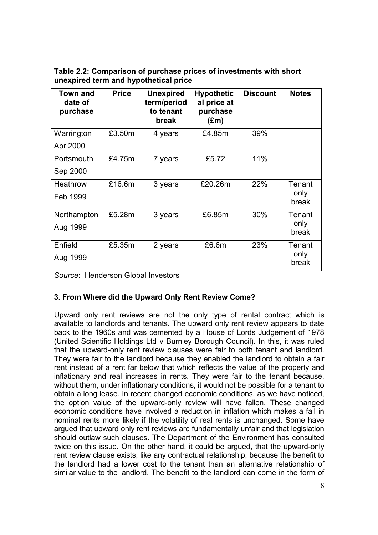**Table 2.2: Comparison of purchase prices of investments with short unexpired term and hypothetical price**

| <b>Town and</b><br>date of<br>purchase | <b>Price</b> | <b>Unexpired</b><br>term/period<br>to tenant<br>break | <b>Hypothetic</b><br>al price at<br>purchase<br>$(\text{Em})$ | <b>Discount</b> | <b>Notes</b>  |
|----------------------------------------|--------------|-------------------------------------------------------|---------------------------------------------------------------|-----------------|---------------|
| Warrington                             | £3.50m       | 4 years                                               | £4.85m                                                        | 39%             |               |
| Apr 2000                               |              |                                                       |                                                               |                 |               |
| Portsmouth                             | £4.75m       | 7 years                                               | £5.72                                                         | 11%             |               |
| Sep 2000                               |              |                                                       |                                                               |                 |               |
| <b>Heathrow</b>                        | £16.6m       | 3 years                                               | £20.26m                                                       | 22%             | Tenant        |
| Feb 1999                               |              |                                                       |                                                               |                 | only<br>break |
| Northampton                            | £5.28m       | 3 years                                               | £6.85m                                                        | 30%             | Tenant        |
| Aug 1999                               |              |                                                       |                                                               |                 | only<br>break |
| Enfield                                | £5.35m       | 2 years                                               | £6.6m                                                         | 23%             | Tenant        |
| Aug 1999                               |              |                                                       |                                                               |                 | only<br>break |
|                                        |              |                                                       |                                                               |                 |               |

*Source*: Henderson Global Investors

# **3. From Where did the Upward Only Rent Review Come?**

Upward only rent reviews are not the only type of rental contract which is available to landlords and tenants. The upward only rent review appears to date back to the 1960s and was cemented by a House of Lords Judgement of 1978 (United Scientific Holdings Ltd v Burnley Borough Council). In this, it was ruled that the upward-only rent review clauses were fair to both tenant and landlord. They were fair to the landlord because they enabled the landlord to obtain a fair rent instead of a rent far below that which reflects the value of the property and inflationary and real increases in rents. They were fair to the tenant because, without them, under inflationary conditions, it would not be possible for a tenant to obtain a long lease. In recent changed economic conditions, as we have noticed, the option value of the upward-only review will have fallen. These changed economic conditions have involved a reduction in inflation which makes a fall in nominal rents more likely if the volatility of real rents is unchanged. Some have argued that upward only rent reviews are fundamentally unfair and that legislation should outlaw such clauses. The Department of the Environment has consulted twice on this issue. On the other hand, it could be argued, that the upward-only rent review clause exists, like any contractual relationship, because the benefit to the landlord had a lower cost to the tenant than an alternative relationship of similar value to the landlord. The benefit to the landlord can come in the form of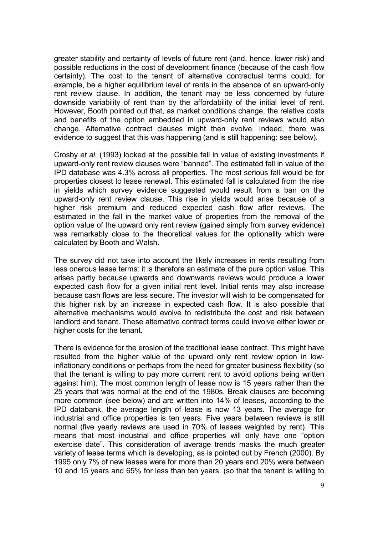greater stability and certainty of levels of future rent (and, hence, lower risk) and possible reductions in the cost of development finance (because of the cash flow certainty). The cost to the tenant of alternative contractual terms could, for example, be a higher equilibrium level of rents in the absence of an upward-only rent review clause. In addition, the tenant may be less concerned by future downside variability of rent than by the affordability of the initial level of rent. However, Booth pointed out that, as market conditions change, the relative costs and benefits of the option embedded in upward-only rent reviews would also change. Alternative contract clauses might then evolve. Indeed, there was evidence to suggest that this was happening (and is still happening: see below).

Crosby *et al.* (1993) looked at the possible fall in value of existing investments if upward-only rent review clauses were "banned". The estimated fall in value of the IPD database was 4.3% across all properties. The most serious fall would be for properties closest to lease renewal. This estimated fall is calculated from the rise in yields which survey evidence suggested would result from a ban on the upward-only rent review clause. This rise in yields would arise because of a higher risk premium and reduced expected cash flow after reviews. The estimated in the fall in the market value of properties from the removal of the option value of the upward only rent review (gained simply from survey evidence) was remarkably close to the theoretical values for the optionality which were calculated by Booth and Walsh.

The survey did not take into account the likely increases in rents resulting from less onerous lease terms: it is therefore an estimate of the pure option value. This arises partly because upwards and downwards reviews would produce a lower expected cash flow for a given initial rent level. Initial rents may also increase because cash flows are less secure. The investor will wish to be compensated for this higher risk by an increase in expected cash flow. It is also possible that alternative mechanisms would evolve to redistribute the cost and risk between landlord and tenant. These alternative contract terms could involve either lower or higher costs for the tenant.

There is evidence for the erosion of the traditional lease contract. This might have resulted from the higher value of the upward only rent review option in lowinflationary conditions or perhaps from the need for greater business flexibility (so that the tenant is willing to pay more current rent to avoid options being written against him). The most common length of lease now is 15 years rather than the 25 years that was normal at the end of the 1980s. Break clauses are becoming more common (see below) and are written into 14% of leases, according to the IPD databank, the average length of lease is now 13 years. The average for industrial and office properties is ten years. Five years between reviews is still normal (five yearly reviews are used in 70% of leases weighted by rent). This means that most industrial and office properties will only have one "option exercise date". This consideration of average trends masks the much greater variety of lease terms which is developing, as is pointed out by French (2000). By 1995 only 7% of new leases were for more than 20 years and 20% were between 10 and 15 years and 65% for less than ten years. (so that the tenant is willing to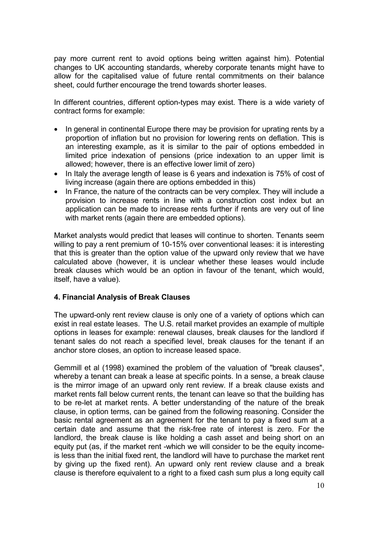pay more current rent to avoid options being written against him). Potential changes to UK accounting standards, whereby corporate tenants might have to allow for the capitalised value of future rental commitments on their balance sheet, could further encourage the trend towards shorter leases.

In different countries, different option-types may exist. There is a wide variety of contract forms for example:

- In general in continental Europe there may be provision for uprating rents by a proportion of inflation but no provision for lowering rents on deflation. This is an interesting example, as it is similar to the pair of options embedded in limited price indexation of pensions (price indexation to an upper limit is allowed; however, there is an effective lower limit of zero)
- In Italy the average length of lease is 6 years and indexation is 75% of cost of living increase (again there are options embedded in this)
- In France, the nature of the contracts can be very complex. They will include a provision to increase rents in line with a construction cost index but an application can be made to increase rents further if rents are very out of line with market rents (again there are embedded options).

Market analysts would predict that leases will continue to shorten. Tenants seem willing to pay a rent premium of 10-15% over conventional leases: it is interesting that this is greater than the option value of the upward only review that we have calculated above (however, it is unclear whether these leases would include break clauses which would be an option in favour of the tenant, which would, itself, have a value).

# **4. Financial Analysis of Break Clauses**

The upward-only rent review clause is only one of a variety of options which can exist in real estate leases. The U.S. retail market provides an example of multiple options in leases for example: renewal clauses, break clauses for the landlord if tenant sales do not reach a specified level, break clauses for the tenant if an anchor store closes, an option to increase leased space.

Gemmill et al (1998) examined the problem of the valuation of "break clauses", whereby a tenant can break a lease at specific points. In a sense, a break clause is the mirror image of an upward only rent review. If a break clause exists and market rents fall below current rents, the tenant can leave so that the building has to be re-let at market rents. A better understanding of the nature of the break clause, in option terms, can be gained from the following reasoning. Consider the basic rental agreement as an agreement for the tenant to pay a fixed sum at a certain date and assume that the risk-free rate of interest is zero. For the landlord, the break clause is like holding a cash asset and being short on an equity put (as, if the market rent -which we will consider to be the equity incomeis less than the initial fixed rent, the landlord will have to purchase the market rent by giving up the fixed rent). An upward only rent review clause and a break clause is therefore equivalent to a right to a fixed cash sum plus a long equity call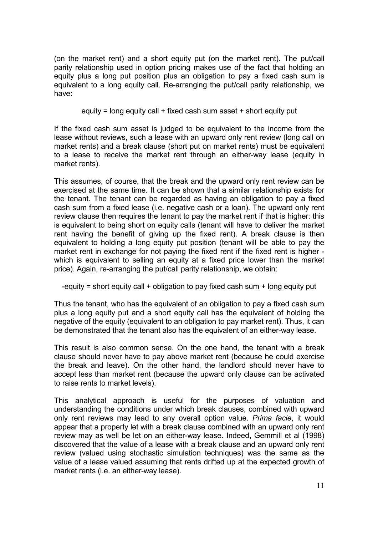(on the market rent) and a short equity put (on the market rent). The put/call parity relationship used in option pricing makes use of the fact that holding an equity plus a long put position plus an obligation to pay a fixed cash sum is equivalent to a long equity call. Re-arranging the put/call parity relationship, we have:

equity = long equity call + fixed cash sum asset + short equity put

If the fixed cash sum asset is judged to be equivalent to the income from the lease without reviews, such a lease with an upward only rent review (long call on market rents) and a break clause (short put on market rents) must be equivalent to a lease to receive the market rent through an either-way lease (equity in market rents).

This assumes, of course, that the break and the upward only rent review can be exercised at the same time. It can be shown that a similar relationship exists for the tenant. The tenant can be regarded as having an obligation to pay a fixed cash sum from a fixed lease (i.e. negative cash or a loan). The upward only rent review clause then requires the tenant to pay the market rent if that is higher: this is equivalent to being short on equity calls (tenant will have to deliver the market rent having the benefit of giving up the fixed rent). A break clause is then equivalent to holding a long equity put position (tenant will be able to pay the market rent in exchange for not paying the fixed rent if the fixed rent is higher which is equivalent to selling an equity at a fixed price lower than the market price). Again, re-arranging the put/call parity relationship, we obtain:

-equity  $=$  short equity call  $+$  obligation to pay fixed cash sum  $+$  long equity put

Thus the tenant, who has the equivalent of an obligation to pay a fixed cash sum plus a long equity put and a short equity call has the equivalent of holding the negative of the equity (equivalent to an obligation to pay market rent). Thus, it can be demonstrated that the tenant also has the equivalent of an either-way lease.

This result is also common sense. On the one hand, the tenant with a break clause should never have to pay above market rent (because he could exercise the break and leave). On the other hand, the landlord should never have to accept less than market rent (because the upward only clause can be activated to raise rents to market levels).

This analytical approach is useful for the purposes of valuation and understanding the conditions under which break clauses, combined with upward only rent reviews may lead to any overall option value. *Prima facie*, it would appear that a property let with a break clause combined with an upward only rent review may as well be let on an either-way lease. Indeed, Gemmill et al (1998) discovered that the value of a lease with a break clause and an upward only rent review (valued using stochastic simulation techniques) was the same as the value of a lease valued assuming that rents drifted up at the expected growth of market rents (i.e. an either-way lease).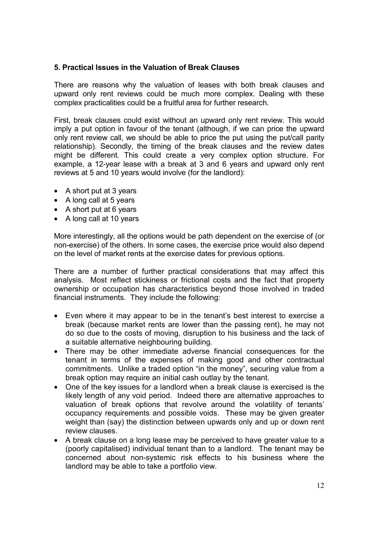### **5. Practical Issues in the Valuation of Break Clauses**

There are reasons why the valuation of leases with both break clauses and upward only rent reviews could be much more complex. Dealing with these complex practicalities could be a fruitful area for further research.

First, break clauses could exist without an upward only rent review. This would imply a put option in favour of the tenant (although, if we can price the upward only rent review call, we should be able to price the put using the put/call parity relationship). Secondly, the timing of the break clauses and the review dates might be different. This could create a very complex option structure. For example, a 12-year lease with a break at 3 and 6 years and upward only rent reviews at 5 and 10 years would involve (for the landlord):

- A short put at 3 years
- A long call at 5 years
- A short put at 6 years
- A long call at 10 years

More interestingly, all the options would be path dependent on the exercise of (or non-exercise) of the others. In some cases, the exercise price would also depend on the level of market rents at the exercise dates for previous options.

There are a number of further practical considerations that may affect this analysis. Most reflect stickiness or frictional costs and the fact that property ownership or occupation has characteristics beyond those involved in traded financial instruments. They include the following:

- Even where it may appear to be in the tenant's best interest to exercise a break (because market rents are lower than the passing rent), he may not do so due to the costs of moving, disruption to his business and the lack of a suitable alternative neighbouring building.
- There may be other immediate adverse financial consequences for the tenant in terms of the expenses of making good and other contractual commitments. Unlike a traded option "in the money", securing value from a break option may require an initial cash outlay by the tenant.
- One of the key issues for a landlord when a break clause is exercised is the likely length of any void period. Indeed there are alternative approaches to valuation of break options that revolve around the volatility of tenants' occupancy requirements and possible voids. These may be given greater weight than (say) the distinction between upwards only and up or down rent review clauses.
- A break clause on a long lease may be perceived to have greater value to a (poorly capitalised) individual tenant than to a landlord. The tenant may be concerned about non-systemic risk effects to his business where the landlord may be able to take a portfolio view.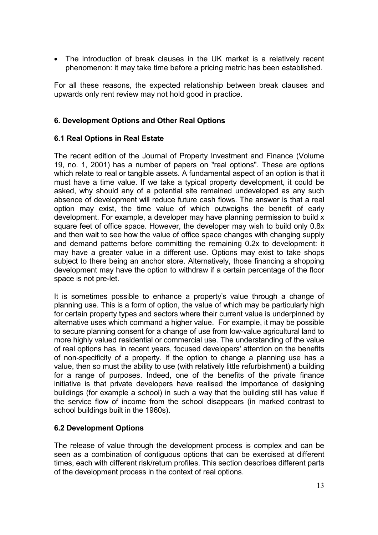• The introduction of break clauses in the UK market is a relatively recent phenomenon: it may take time before a pricing metric has been established.

For all these reasons, the expected relationship between break clauses and upwards only rent review may not hold good in practice.

## **6. Development Options and Other Real Options**

### **6.1 Real Options in Real Estate**

The recent edition of the Journal of Property Investment and Finance (Volume 19, no. 1, 2001) has a number of papers on "real options". These are options which relate to real or tangible assets. A fundamental aspect of an option is that it must have a time value. If we take a typical property development, it could be asked, why should any of a potential site remained undeveloped as any such absence of development will reduce future cash flows. The answer is that a real option may exist, the time value of which outweighs the benefit of early development. For example, a developer may have planning permission to build x square feet of office space. However, the developer may wish to build only 0.8x and then wait to see how the value of office space changes with changing supply and demand patterns before committing the remaining 0.2x to development: it may have a greater value in a different use. Options may exist to take shops subject to there being an anchor store. Alternatively, those financing a shopping development may have the option to withdraw if a certain percentage of the floor space is not pre-let.

It is sometimes possible to enhance a property's value through a change of planning use. This is a form of option, the value of which may be particularly high for certain property types and sectors where their current value is underpinned by alternative uses which command a higher value. For example, it may be possible to secure planning consent for a change of use from low-value agricultural land to more highly valued residential or commercial use. The understanding of the value of real options has, in recent years, focused developers' attention on the benefits of non-specificity of a property. If the option to change a planning use has a value, then so must the ability to use (with relatively little refurbishment) a building for a range of purposes. Indeed, one of the benefits of the private finance initiative is that private developers have realised the importance of designing buildings (for example a school) in such a way that the building still has value if the service flow of income from the school disappears (in marked contrast to school buildings built in the 1960s).

### **6.2 Development Options**

The release of value through the development process is complex and can be seen as a combination of contiguous options that can be exercised at different times, each with different risk/return profiles. This section describes different parts of the development process in the context of real options.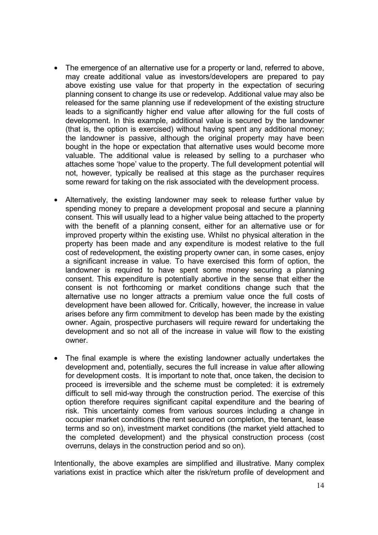- The emergence of an alternative use for a property or land, referred to above, may create additional value as investors/developers are prepared to pay above existing use value for that property in the expectation of securing planning consent to change its use or redevelop. Additional value may also be released for the same planning use if redevelopment of the existing structure leads to a significantly higher end value after allowing for the full costs of development. In this example, additional value is secured by the landowner (that is, the option is exercised) without having spent any additional money; the landowner is passive, although the original property may have been bought in the hope or expectation that alternative uses would become more valuable. The additional value is released by selling to a purchaser who attaches some 'hope' value to the property. The full development potential will not, however, typically be realised at this stage as the purchaser requires some reward for taking on the risk associated with the development process.
- Alternatively, the existing landowner may seek to release further value by spending money to prepare a development proposal and secure a planning consent. This will usually lead to a higher value being attached to the property with the benefit of a planning consent, either for an alternative use or for improved property within the existing use. Whilst no physical alteration in the property has been made and any expenditure is modest relative to the full cost of redevelopment, the existing property owner can, in some cases, enjoy a significant increase in value. To have exercised this form of option, the landowner is required to have spent some money securing a planning consent. This expenditure is potentially abortive in the sense that either the consent is not forthcoming or market conditions change such that the alternative use no longer attracts a premium value once the full costs of development have been allowed for. Critically, however, the increase in value arises before any firm commitment to develop has been made by the existing owner. Again, prospective purchasers will require reward for undertaking the development and so not all of the increase in value will flow to the existing owner.
- The final example is where the existing landowner actually undertakes the development and, potentially, secures the full increase in value after allowing for development costs. It is important to note that, once taken, the decision to proceed is irreversible and the scheme must be completed: it is extremely difficult to sell mid-way through the construction period. The exercise of this option therefore requires significant capital expenditure and the bearing of risk. This uncertainty comes from various sources including a change in occupier market conditions (the rent secured on completion, the tenant, lease terms and so on), investment market conditions (the market yield attached to the completed development) and the physical construction process (cost overruns, delays in the construction period and so on).

Intentionally, the above examples are simplified and illustrative. Many complex variations exist in practice which alter the risk/return profile of development and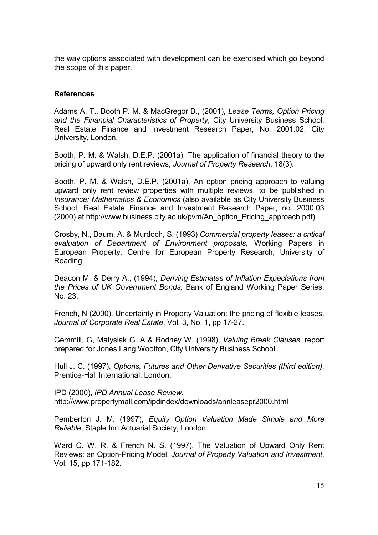the way options associated with development can be exercised which go beyond the scope of this paper.

### **References**

Adams A. T., Booth P. M. & MacGregor B., (2001), *Lease Terms, Option Pricing and the Financial Characteristics of Property*, City University Business School, Real Estate Finance and Investment Research Paper, No. 2001.02, City University, London.

Booth, P. M. & Walsh, D.E.P. (2001a), The application of financial theory to the pricing of upward only rent reviews, *Journal of Property Research*, 18(3).

Booth, P. M. & Walsh, D.E.P. (2001a), An option pricing approach to valuing upward only rent review properties with multiple reviews, to be published in *Insurance: Mathematics & Economics* (also available as City University Business School, Real Estate Finance and Investment Research Paper, no. 2000.03 (2000) at http://www.business.city.ac.uk/pvm/An\_option\_Pricing\_approach.pdf)

Crosby, N., Baum, A. & Murdoch, S. (1993) *Commercial property leases: a critical evaluation of Department of Environment proposals,* Working Papers in European Property, Centre for European Property Research, University of Reading.

Deacon M. & Derry A., (1994), *Deriving Estimates of Inflation Expectations from the Prices of UK Government Bonds,* Bank of England Working Paper Series, No. 23.

French, N (2000), Uncertainty in Property Valuation: the pricing of flexible leases, *Journal of Corporate Real Estate*, Vol. 3, No. 1, pp 17-27.

Gemmill, G, Matysiak G. A & Rodney W. (1998), *Valuing Break Clauses*, report prepared for Jones Lang Wootton, City University Business School.

Hull J. C. (1997), *Options, Futures and Other Derivative Securities (third edition)*, Prentice-Hall International, London.

IPD (2000), *IPD Annual Lease Review*, http://www.propertymall.com/ipdindex/downloads/annleasepr2000.html

Pemberton J. M. (1997), *Equity Option Valuation Made Simple and More Reliable*, Staple Inn Actuarial Society, London.

Ward C. W. R. & French N. S. (1997), The Valuation of Upward Only Rent Reviews: an Option-Pricing Model, *Journal of Property Valuation and Investment*, Vol. 15, pp 171-182.